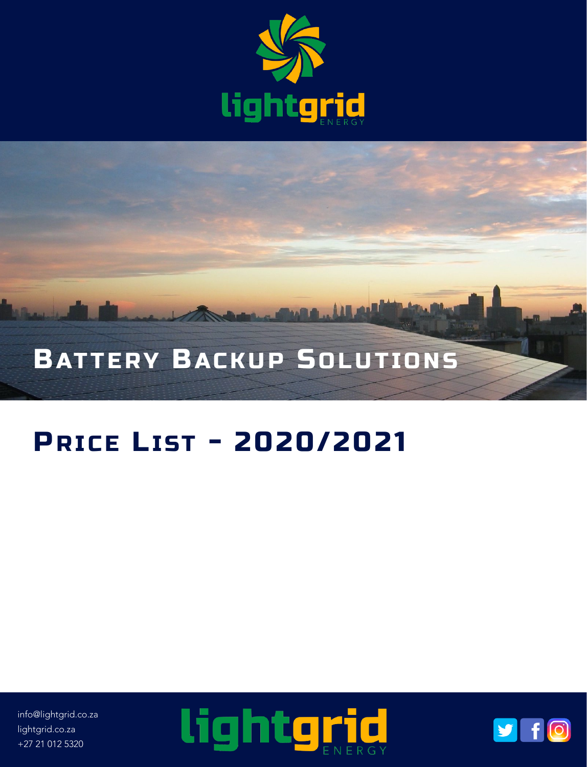



## **PRICE LIST - 2020/2021**

info@lightgrid.co.za lightgrid.co.za +27 21 012 5320



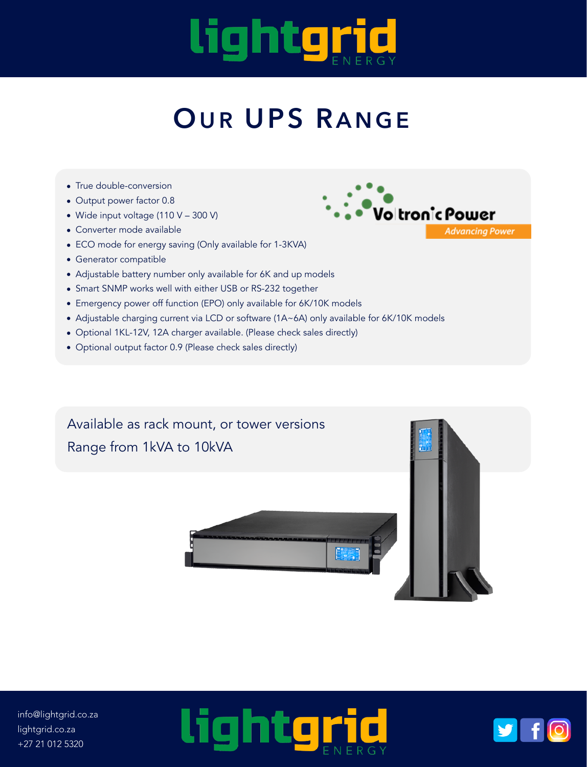## lightgrid

## **OUR UPS R ANGE**

- True double-conversion
- Output power factor 0.8
- Wide input voltage (110 V 300 V)
- Converter mode available
- ECO mode for energy saving (Only available for 1-3KVA)
- Generator compatible
- Adjustable battery number only available for 6K and up models
- Smart SNMP works well with either USB or RS-232 together
- Emergency power off function (EPO) only available for 6K/10K models
- Adjustable charging current via LCD or software (1A~6A) only available for 6K/10K models
- Optional 1KL-12V, 12A charger available. (Please check sales directly)
- Optional output factor 0.9 (Please check sales directly)

Available as rack mount, or tower versions Range from 1kVA to 10kVA

Voltronic Power **Advancing Power** 



info@lightgrid.co.za lightgrid.co.za +27 21 012 5320